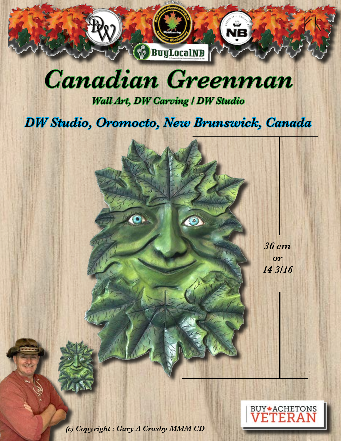

## *Canadian Greenman*

*Wall Art, DW Carving / DW Studio* 

## *DW Studio, Oromocto, New Brunswick, Canada*

*36 cm or 14 3/16*

*(c) Copyright : Gary A Crosby MMM CD* 

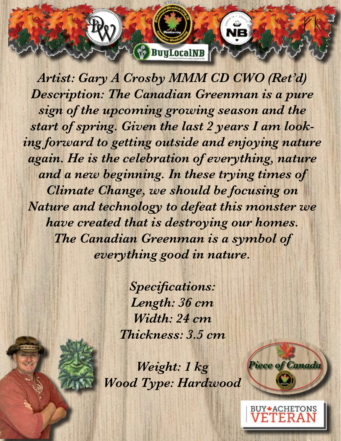*Artist: Gary A Crosby MMM CD CWO (Ret'd) Description: The Canadian Greenman is a pure sign of the upcoming growing season and the start of spring. Given the last 2 years I am looking forward to getting outside and enjoying nature*  again. He is the celebration of everything, nature *and a new beginning. In these trying times of Climate Change, we should be focusing on Nature and technology to defeat this monster we have created that is destroying our homes. The Canadian Greenman is a symbol of everything good in nature.* 

**BuyLocalNB** 

*Specifications: Length: 36 cm Width: 24 cm Thickness: 3.5 cm* 

*Weight: 1 kg Wood Type: Hardwood*



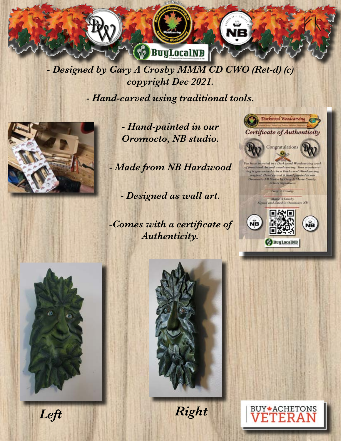

*- Designed by Gary A Crosby MMM CD CWO (Ret-d) (c) copyright Dec 2021.* 

*- Hand-carved using traditional tools.*



*- Hand-painted in our Oromocto, NB studio.*

*- Made from NB Hardwood* 

*- Designed as wall art.* 

*-Comes with a certificate of Authenticity.* 









*Left Right*